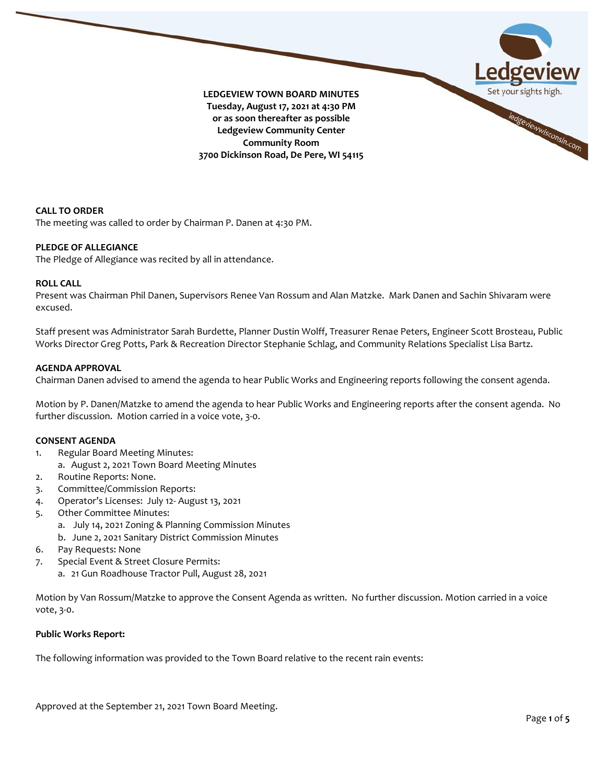

**CALL TO ORDER** The meeting was called to order by Chairman P. Danen at 4:30 PM.

# **PLEDGE OF ALLEGIANCE**

The Pledge of Allegiance was recited by all in attendance.

# **ROLL CALL**

Present was Chairman Phil Danen, Supervisors Renee Van Rossum and Alan Matzke. Mark Danen and Sachin Shivaram were excused.

Staff present was Administrator Sarah Burdette, Planner Dustin Wolff, Treasurer Renae Peters, Engineer Scott Brosteau, Public Works Director Greg Potts, Park & Recreation Director Stephanie Schlag, and Community Relations Specialist Lisa Bartz.

## **AGENDA APPROVAL**

Chairman Danen advised to amend the agenda to hear Public Works and Engineering reports following the consent agenda.

Motion by P. Danen/Matzke to amend the agenda to hear Public Works and Engineering reports after the consent agenda. No further discussion. Motion carried in a voice vote, 3-0.

## **CONSENT AGENDA**

- 1. Regular Board Meeting Minutes: a. August 2, 2021 Town Board Meeting Minutes
- 2. Routine Reports: None.
- 3. Committee/Commission Reports:
- 4. Operator's Licenses: July 12- August 13, 2021
- 5. Other Committee Minutes:
	- a. July 14, 2021 Zoning & Planning Commission Minutes
	- b. June 2, 2021 Sanitary District Commission Minutes
- 6. Pay Requests: None
- 7. Special Event & Street Closure Permits:
	- a. 21 Gun Roadhouse Tractor Pull, August 28, 2021

Motion by Van Rossum/Matzke to approve the Consent Agenda as written. No further discussion. Motion carried in a voice vote, 3-0.

## **Public Works Report:**

The following information was provided to the Town Board relative to the recent rain events: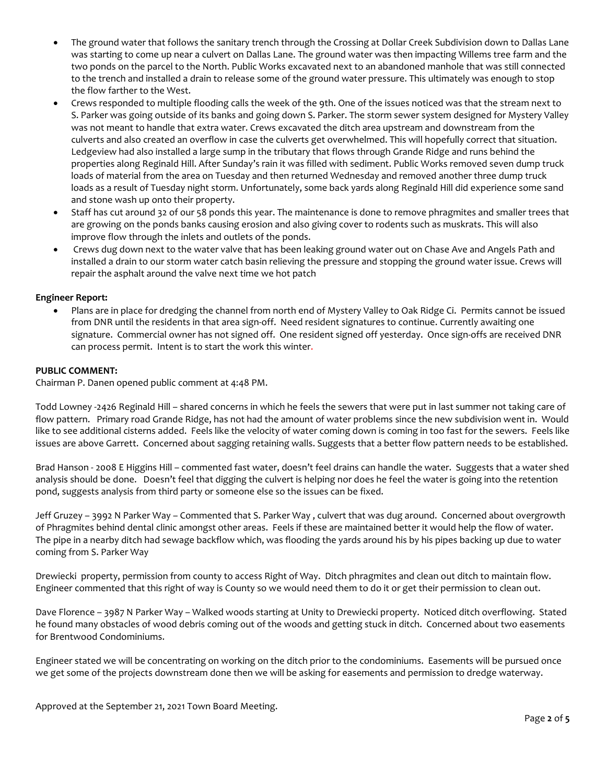- The ground water that follows the sanitary trench through the Crossing at Dollar Creek Subdivision down to Dallas Lane was starting to come up near a culvert on Dallas Lane. The ground water was then impacting Willems tree farm and the two ponds on the parcel to the North. Public Works excavated next to an abandoned manhole that was still connected to the trench and installed a drain to release some of the ground water pressure. This ultimately was enough to stop the flow farther to the West.
- Crews responded to multiple flooding calls the week of the 9th. One of the issues noticed was that the stream next to S. Parker was going outside of its banks and going down S. Parker. The storm sewer system designed for Mystery Valley was not meant to handle that extra water. Crews excavated the ditch area upstream and downstream from the culverts and also created an overflow in case the culverts get overwhelmed. This will hopefully correct that situation. Ledgeview had also installed a large sump in the tributary that flows through Grande Ridge and runs behind the properties along Reginald Hill. After Sunday's rain it was filled with sediment. Public Works removed seven dump truck loads of material from the area on Tuesday and then returned Wednesday and removed another three dump truck loads as a result of Tuesday night storm. Unfortunately, some back yards along Reginald Hill did experience some sand and stone wash up onto their property.
- Staff has cut around 32 of our 58 ponds this year. The maintenance is done to remove phragmites and smaller trees that are growing on the ponds banks causing erosion and also giving cover to rodents such as muskrats. This will also improve flow through the inlets and outlets of the ponds.
- Crews dug down next to the water valve that has been leaking ground water out on Chase Ave and Angels Path and installed a drain to our storm water catch basin relieving the pressure and stopping the ground water issue. Crews will repair the asphalt around the valve next time we hot patch

# **Engineer Report:**

• Plans are in place for dredging the channel from north end of Mystery Valley to Oak Ridge Ci. Permits cannot be issued from DNR until the residents in that area sign-off. Need resident signatures to continue. Currently awaiting one signature. Commercial owner has not signed off. One resident signed off yesterday. Once sign-offs are received DNR can process permit. Intent is to start the work this winter.

# **PUBLIC COMMENT:**

Chairman P. Danen opened public comment at 4:48 PM.

Todd Lowney -2426 Reginald Hill – shared concerns in which he feels the sewers that were put in last summer not taking care of flow pattern. Primary road Grande Ridge, has not had the amount of water problems since the new subdivision went in. Would like to see additional cisterns added. Feels like the velocity of water coming down is coming in too fast for the sewers. Feels like issues are above Garrett. Concerned about sagging retaining walls. Suggests that a better flow pattern needs to be established.

Brad Hanson - 2008 E Higgins Hill – commented fast water, doesn't feel drains can handle the water. Suggests that a water shed analysis should be done. Doesn't feel that digging the culvert is helping nor does he feel the water is going into the retention pond, suggests analysis from third party or someone else so the issues can be fixed.

Jeff Gruzey – 3992 N Parker Way – Commented that S. Parker Way , culvert that was dug around. Concerned about overgrowth of Phragmites behind dental clinic amongst other areas. Feels if these are maintained better it would help the flow of water. The pipe in a nearby ditch had sewage backflow which, was flooding the yards around his by his pipes backing up due to water coming from S. Parker Way

Drewiecki property, permission from county to access Right of Way. Ditch phragmites and clean out ditch to maintain flow. Engineer commented that this right of way is County so we would need them to do it or get their permission to clean out.

Dave Florence – 3987 N Parker Way – Walked woods starting at Unity to Drewiecki property. Noticed ditch overflowing. Stated he found many obstacles of wood debris coming out of the woods and getting stuck in ditch. Concerned about two easements for Brentwood Condominiums.

Engineer stated we will be concentrating on working on the ditch prior to the condominiums. Easements will be pursued once we get some of the projects downstream done then we will be asking for easements and permission to dredge waterway.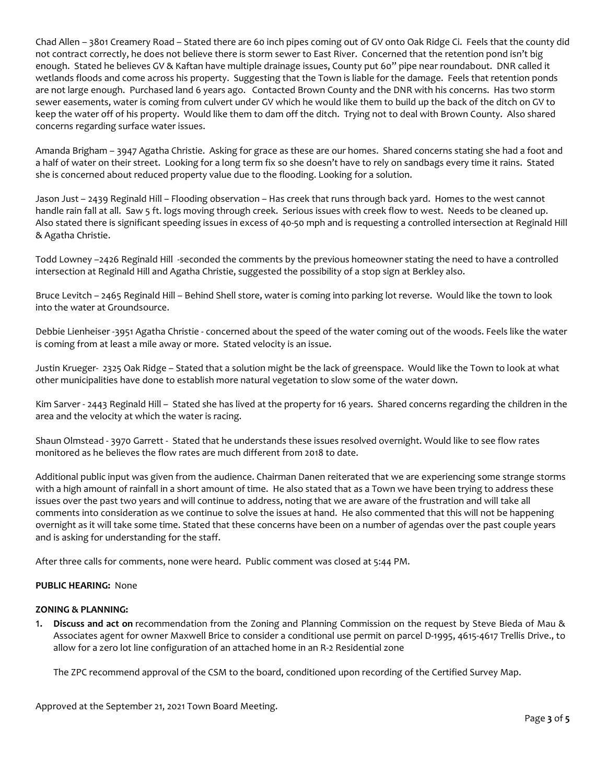Chad Allen – 3801 Creamery Road – Stated there are 60 inch pipes coming out of GV onto Oak Ridge Ci. Feels that the county did not contract correctly, he does not believe there is storm sewer to East River. Concerned that the retention pond isn't big enough. Stated he believes GV & Kaftan have multiple drainage issues, County put 60" pipe near roundabout. DNR called it wetlands floods and come across his property. Suggesting that the Town is liable for the damage. Feels that retention ponds are not large enough. Purchased land 6 years ago. Contacted Brown County and the DNR with his concerns. Has two storm sewer easements, water is coming from culvert under GV which he would like them to build up the back of the ditch on GV to keep the water off of his property. Would like them to dam off the ditch. Trying not to deal with Brown County. Also shared concerns regarding surface water issues.

Amanda Brigham – 3947 Agatha Christie. Asking for grace as these are our homes. Shared concerns stating she had a foot and a half of water on their street. Looking for a long term fix so she doesn't have to rely on sandbags every time it rains. Stated she is concerned about reduced property value due to the flooding. Looking for a solution.

Jason Just – 2439 Reginald Hill – Flooding observation – Has creek that runs through back yard. Homes to the west cannot handle rain fall at all. Saw 5 ft. logs moving through creek. Serious issues with creek flow to west. Needs to be cleaned up. Also stated there is significant speeding issues in excess of 40-50 mph and is requesting a controlled intersection at Reginald Hill & Agatha Christie.

Todd Lowney –2426 Reginald Hill -seconded the comments by the previous homeowner stating the need to have a controlled intersection at Reginald Hill and Agatha Christie, suggested the possibility of a stop sign at Berkley also.

Bruce Levitch – 2465 Reginald Hill – Behind Shell store, water is coming into parking lot reverse. Would like the town to look into the water at Groundsource.

Debbie Lienheiser -3951 Agatha Christie - concerned about the speed of the water coming out of the woods. Feels like the water is coming from at least a mile away or more. Stated velocity is an issue.

Justin Krueger- 2325 Oak Ridge – Stated that a solution might be the lack of greenspace. Would like the Town to look at what other municipalities have done to establish more natural vegetation to slow some of the water down.

Kim Sarver - 2443 Reginald Hill – Stated she has lived at the property for 16 years. Shared concerns regarding the children in the area and the velocity at which the water is racing.

Shaun Olmstead - 3970 Garrett - Stated that he understands these issues resolved overnight. Would like to see flow rates monitored as he believes the flow rates are much different from 2018 to date.

Additional public input was given from the audience. Chairman Danen reiterated that we are experiencing some strange storms with a high amount of rainfall in a short amount of time. He also stated that as a Town we have been trying to address these issues over the past two years and will continue to address, noting that we are aware of the frustration and will take all comments into consideration as we continue to solve the issues at hand. He also commented that this will not be happening overnight as it will take some time. Stated that these concerns have been on a number of agendas over the past couple years and is asking for understanding for the staff.

After three calls for comments, none were heard. Public comment was closed at 5:44 PM.

# **PUBLIC HEARING:** None

## **ZONING & PLANNING:**

1. **Discuss and act on** recommendation from the Zoning and Planning Commission on the request by Steve Bieda of Mau & Associates agent for owner Maxwell Brice to consider a conditional use permit on parcel D-1995, 4615-4617 Trellis Drive., to allow for a zero lot line configuration of an attached home in an R-2 Residential zone

The ZPC recommend approval of the CSM to the board, conditioned upon recording of the Certified Survey Map.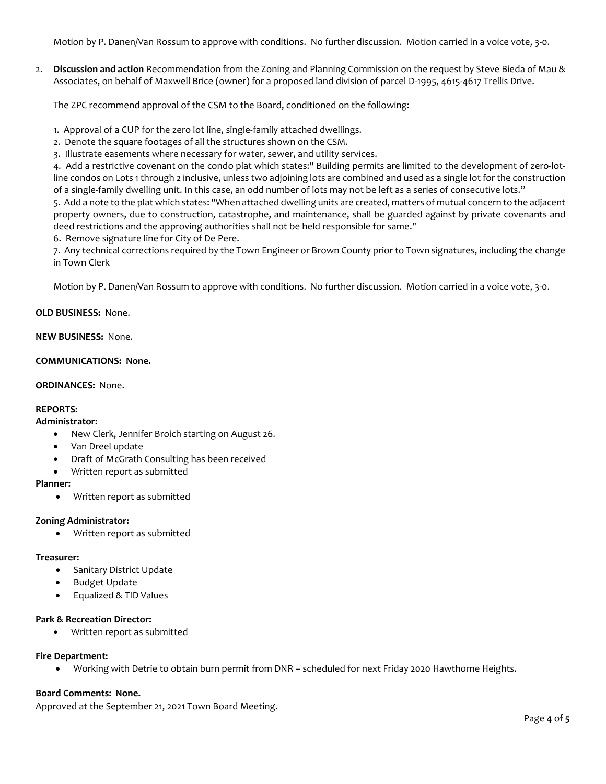Motion by P. Danen/Van Rossum to approve with conditions. No further discussion. Motion carried in a voice vote, 3-0.

2. **Discussion and action** Recommendation from the Zoning and Planning Commission on the request by Steve Bieda of Mau & Associates, on behalf of Maxwell Brice (owner) for a proposed land division of parcel D-1995, 4615-4617 Trellis Drive.

The ZPC recommend approval of the CSM to the Board, conditioned on the following:

- 1. Approval of a CUP for the zero lot line, single-family attached dwellings.
- 2. Denote the square footages of all the structures shown on the CSM.
- 3. Illustrate easements where necessary for water, sewer, and utility services.

4. Add a restrictive covenant on the condo plat which states:" Building permits are limited to the development of zero-lotline condos on Lots 1 through 2 inclusive, unless two adjoining lots are combined and used as a single lot for the construction of a single-family dwelling unit. In this case, an odd number of lots may not be left as a series of consecutive lots."

5. Add a note to the plat which states: "When attached dwelling units are created, matters of mutual concern to the adjacent property owners, due to construction, catastrophe, and maintenance, shall be guarded against by private covenants and deed restrictions and the approving authorities shall not be held responsible for same."

6. Remove signature line for City of De Pere.

7. Any technical corrections required by the Town Engineer or Brown County prior to Town signatures, including the change in Town Clerk

Motion by P. Danen/Van Rossum to approve with conditions. No further discussion. Motion carried in a voice vote, 3-0.

## **OLD BUSINESS:** None.

#### **NEW BUSINESS:** None.

## **COMMUNICATIONS: None.**

#### **ORDINANCES:** None.

# **REPORTS:**

# **Administrator:**

- New Clerk, Jennifer Broich starting on August 26.
- Van Dreel update
- Draft of McGrath Consulting has been received
- Written report as submitted

# **Planner:**

• Written report as submitted

## **Zoning Administrator:**

• Written report as submitted

## **Treasurer:**

- Sanitary District Update
- Budget Update
- Equalized & TID Values

## **Park & Recreation Director:**

• Written report as submitted

# **Fire Department:**

• Working with Detrie to obtain burn permit from DNR – scheduled for next Friday 2020 Hawthorne Heights.

## **Board Comments: None.**